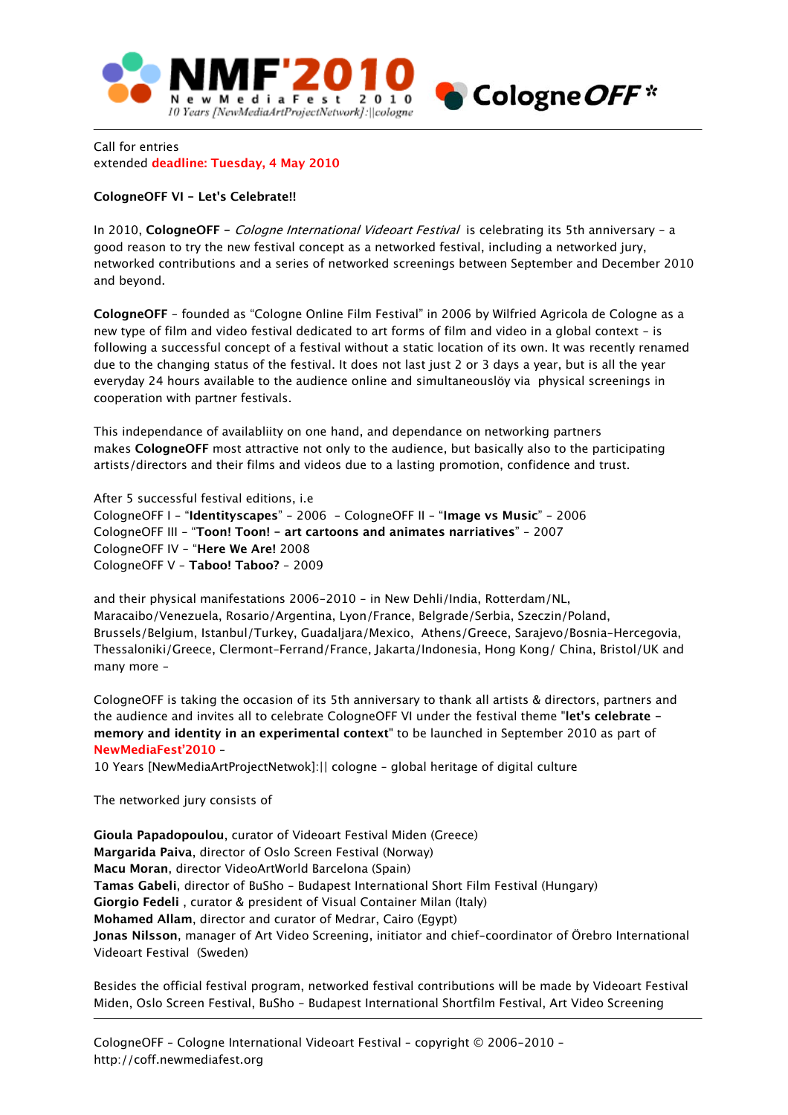

Call for entries extended **deadline: Tuesday, 4 May 2010**

## **CologneOFF VI - Let's Celebrate!!**

In 2010, **CologneOFF -** Cologne International Videoart Festival is celebrating its 5th anniversary - a good reason to try the new festival concept as a networked festival, including a networked jury, networked contributions and a series of networked screenings between September and December 2010 and beyond.

**CologneOFF** - founded as "Cologne Online Film Festival" in 2006 by Wilfried Agricola de Cologne as a new type of film and video festival dedicated to art forms of film and video in a global context - is following a successful concept of a festival without a static location of its own. It was recently renamed due to the changing status of the festival. It does not last just 2 or 3 days a year, but is all the year everyday 24 hours available to the audience online and simultaneouslöy via physical screenings in cooperation with partner festivals.

This independance of availabliity on one hand, and dependance on networking partners makes **CologneOFF** most attractive not only to the audience, but basically also to the participating artists/directors and their films and videos due to a lasting promotion, confidence and trust.

After 5 successful festival editions, i.e CologneOFF I - "**Identityscapes**" - 2006 - CologneOFF II - "**Image vs Music**" - 2006 CologneOFF III - "**Toon! Toon! - art cartoons and animates narriatives**" - 2007 CologneOFF IV - "**Here We Are!** 2008 CologneOFF V - **Taboo! Taboo?** - 2009

and their physical manifestations 2006-2010 - in New Dehli/India, Rotterdam/NL, Maracaibo/Venezuela, Rosario/Argentina, Lyon/France, Belgrade/Serbia, Szeczin/Poland, Brussels/Belgium, Istanbul/Turkey, Guadaljara/Mexico, Athens/Greece, Sarajevo/Bosnia-Hercegovia, Thessaloniki/Greece, Clermont-Ferrand/France, Jakarta/Indonesia, Hong Kong/ China, Bristol/UK and many more -

CologneOFF is taking the occasion of its 5th anniversary to thank all artists & directors, partners and the audience and invites all to celebrate CologneOFF VI under the festival theme "**let's celebrate memory and identity in an experimental context**" to be launched in September 2010 as part of **NewMediaFest'2010** –

10 Years [NewMediaArtProjectNetwok]:|| cologne – global heritage of digital culture

The networked jury consists of

**Gioula Papadopoulou**, curator of Videoart Festival Miden (Greece) **Margarida Paiva**, director of Oslo Screen Festival (Norway) **Macu Moran**, director VideoArtWorld Barcelona (Spain) **Tamas Gabeli**, director of BuSho - Budapest International Short Film Festival (Hungary) **Giorgio Fedeli** , curator & president of Visual Container Milan (Italy) **Mohamed Allam**, director and curator of Medrar, Cairo (Egypt) **Jonas Nilsson**, manager of Art Video Screening, initiator and chief-coordinator of Örebro International Videoart Festival (Sweden)

Besides the official festival program, networked festival contributions will be made by Videoart Festival Miden, Oslo Screen Festival, BuSho - Budapest International Shortfilm Festival, Art Video Screening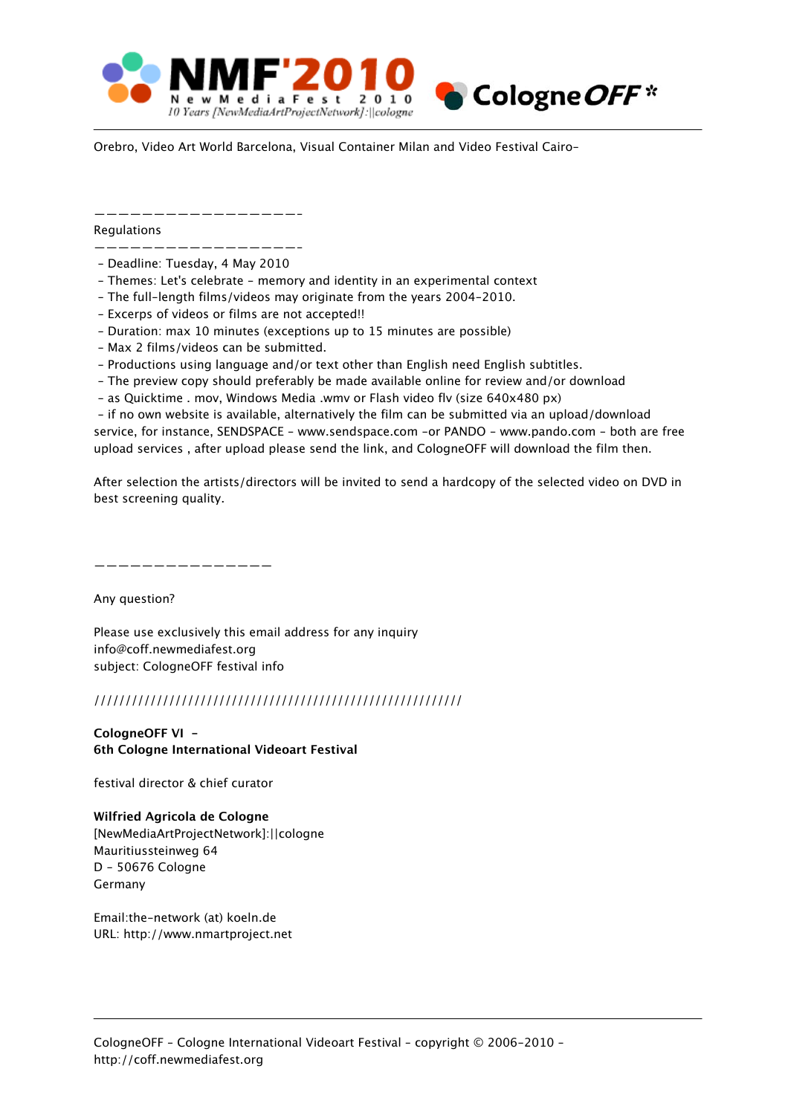

Orebro, Video Art World Barcelona, Visual Container Milan and Video Festival Cairo-

—————————————————-

**Requlations** 

- —————————————————- - Deadline: Tuesday, 4 May 2010
- Themes: Let's celebrate memory and identity in an experimental context
- The full-length films/videos may originate from the years 2004-2010.
- Excerps of videos or films are not accepted!!
- Duration: max 10 minutes (exceptions up to 15 minutes are possible)
- Max 2 films/videos can be submitted.
- Productions using language and/or text other than English need English subtitles.
- The preview copy should preferably be made available online for review and/or download
- as Quicktime . mov, Windows Media .wmv or Flash video flv (size 640x480 px)

 - if no own website is available, alternatively the film can be submitted via an upload/download service, for instance, SENDSPACE - www.sendspace.com -or PANDO - www.pando.com - both are free upload services , after upload please send the link, and CologneOFF will download the film then.

After selection the artists/directors will be invited to send a hardcopy of the selected video on DVD in best screening quality.

———————————————

Any question?

Please use exclusively this email address for any inquiry info@coff.newmediafest.org subject: CologneOFF festival info

## ///////////////////////////////////////////////////////////

**CologneOFF VI - 6th Cologne International Videoart Festival**

festival director & chief curator

**Wilfried Agricola de Cologne** [NewMediaArtProjectNetwork]:||cologne Mauritiussteinweg 64 D - 50676 Cologne Germany

Email:the-network (at) koeln.de URL: http://www.nmartproject.net